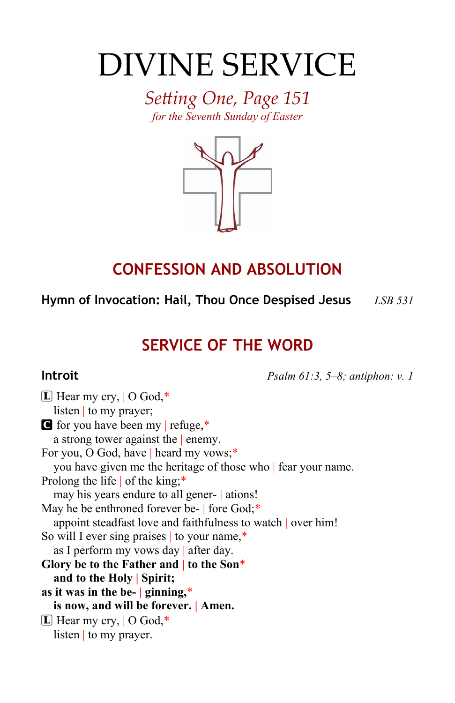# DIVINE SERVICE

*Setting One, Page 151 for the Seventh Sunday of Easter*



# **CONFESSION AND ABSOLUTION**

**Hymn of Invocation: Hail, Thou Once Despised Jesus** *LSB 531*

# **SERVICE OF THE WORD**

**Introit** *Psalm 61:3, 5–8; antiphon: v. 1*

 $\boxed{\mathbb{L}}$  Hear my cry,  $\boxed{\text{O God}}$ ,\* listen | to my prayer; C for you have been my | refuge,\* a strong tower against the | enemy. For you, O God, have | heard my vows;\* you have given me the heritage of those who | fear your name. Prolong the life of the king;\* may his years endure to all gener- | ations! May he be enthroned forever be- fore God;\* appoint steadfast love and faithfulness to watch | over him! So will I ever sing praises to your name,\* as I perform my vows day | after day. **Glory be to the Father and | to the Son**\* **and to the Holy | Spirit; as it was in the be- | ginning,**\* **is now, and will be forever. | Amen.**  $\boxed{\mathbf{L}}$  Hear my cry,  $\boxed{\mathbf{O} \text{ God}}$ ,\* listen | to my prayer.